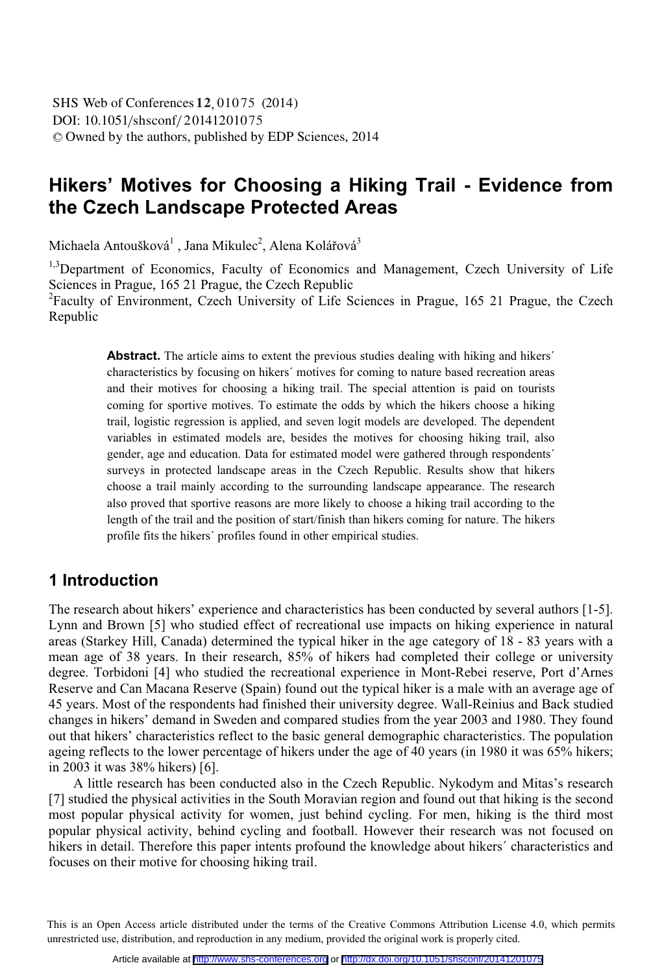# **Hikers' Motives for Choosing a Hiking Trail - Evidence from the Czech Landscape Protected Areas**

Michaela Antoušková<sup>1</sup> , Jana Mikulec<sup>2</sup>, Alena Kolářová<sup>3</sup>

<sup>1,3</sup>Department of Economics, Faculty of Economics and Management, Czech University of Life Sciences in Prague, 165 21 Prague, the Czech Republic

<sup>2</sup>Faculty of Environment, Czech University of Life Sciences in Prague, 165 21 Prague, the Czech Republic

> Abstract. The article aims to extent the previous studies dealing with hiking and hikers<sup>'</sup> characteristics by focusing on hikers´ motives for coming to nature based recreation areas and their motives for choosing a hiking trail. The special attention is paid on tourists coming for sportive motives. To estimate the odds by which the hikers choose a hiking trail, logistic regression is applied, and seven logit models are developed. The dependent variables in estimated models are, besides the motives for choosing hiking trail, also gender, age and education. Data for estimated model were gathered through respondents´ surveys in protected landscape areas in the Czech Republic. Results show that hikers choose a trail mainly according to the surrounding landscape appearance. The research also proved that sportive reasons are more likely to choose a hiking trail according to the length of the trail and the position of start/finish than hikers coming for nature. The hikers profile fits the hikers´ profiles found in other empirical studies.

## **1 Introduction**

The research about hikers' experience and characteristics has been conducted by several authors [1-5]. Lynn and Brown [5] who studied effect of recreational use impacts on hiking experience in natural areas (Starkey Hill, Canada) determined the typical hiker in the age category of 18 - 83 years with a mean age of 38 years. In their research, 85% of hikers had completed their college or university degree. Torbidoni [4] who studied the recreational experience in Mont-Rebei reserve, Port d'Arnes Reserve and Can Macana Reserve (Spain) found out the typical hiker is a male with an average age of 45 years. Most of the respondents had finished their university degree. Wall-Reinius and Back studied changes in hikers' demand in Sweden and compared studies from the year 2003 and 1980. They found out that hikers' characteristics reflect to the basic general demographic characteristics. The population ageing reflects to the lower percentage of hikers under the age of 40 years (in 1980 it was 65% hikers; in 2003 it was 38% hikers) [6].

A little research has been conducted also in the Czech Republic. Nykodym and Mitas's research [7] studied the physical activities in the South Moravian region and found out that hiking is the second most popular physical activity for women, just behind cycling. For men, hiking is the third most popular physical activity, behind cycling and football. However their research was not focused on hikers in detail. Therefore this paper intents profound the knowledge about hikers´ characteristics and focuses on their motive for choosing hiking trail.

 This is an Open Access article distributed under the terms of the Creative Commons Attribution License 4.0, which permits unrestricted use, distribution, and reproduction in any medium, provided the original work is properly cited.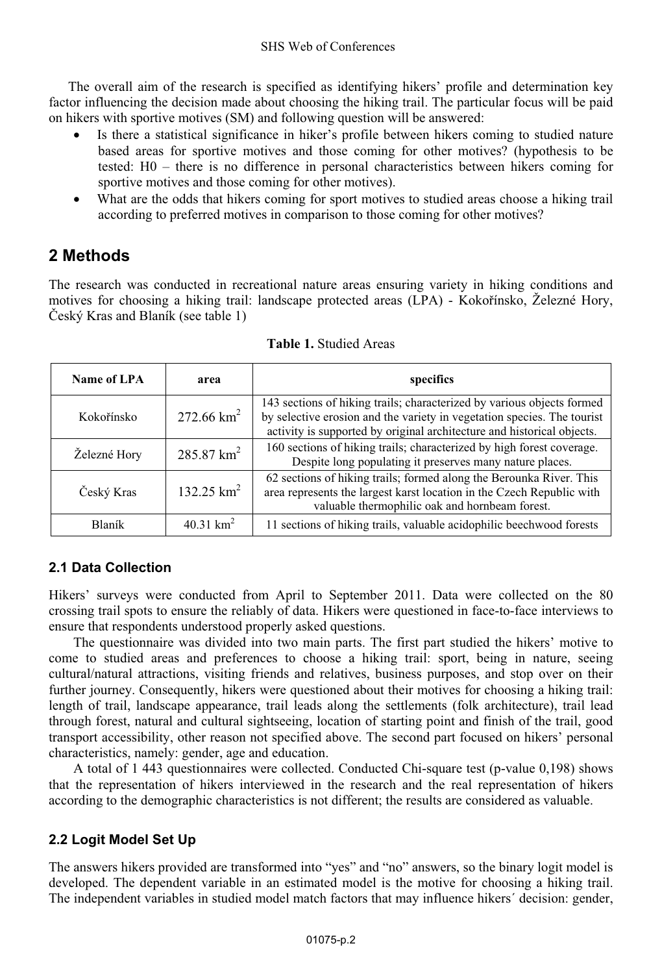The overall aim of the research is specified as identifying hikers' profile and determination key factor influencing the decision made about choosing the hiking trail. The particular focus will be paid on hikers with sportive motives (SM) and following question will be answered:

- - Is there a statistical significance in hiker's profile between hikers coming to studied nature based areas for sportive motives and those coming for other motives? (hypothesis to be tested: H0 – there is no difference in personal characteristics between hikers coming for sportive motives and those coming for other motives).
- - What are the odds that hikers coming for sport motives to studied areas choose a hiking trail according to preferred motives in comparison to those coming for other motives?

# **2 Methods**

The research was conducted in recreational nature areas ensuring variety in hiking conditions and motives for choosing a hiking trail: landscape protected areas (LPA) - Kokořínsko, Železné Hory, Český Kras and Blaník (see table 1)

| Name of LPA   | area                     | specifics                                                                                                                                                                                                                   |  |  |  |
|---------------|--------------------------|-----------------------------------------------------------------------------------------------------------------------------------------------------------------------------------------------------------------------------|--|--|--|
| Kokořínsko    | 272.66 $km^2$            | 143 sections of hiking trails; characterized by various objects formed<br>by selective erosion and the variety in vegetation species. The tourist<br>activity is supported by original architecture and historical objects. |  |  |  |
| Železné Hory  | $285.87 \text{ km}^2$    | 160 sections of hiking trails; characterized by high forest coverage.<br>Despite long populating it preserves many nature places.                                                                                           |  |  |  |
| Český Kras    | $132.25$ km <sup>2</sup> | 62 sections of hiking trails; formed along the Berounka River. This<br>area represents the largest karst location in the Czech Republic with<br>valuable thermophilic oak and hornbeam forest.                              |  |  |  |
| <b>Blaník</b> | 40.31 km <sup>2</sup>    | 11 sections of hiking trails, valuable acidophilic beechwood forests                                                                                                                                                        |  |  |  |

**Table 1.** Studied Areas

# **2.1 Data Collection**

Hikers' surveys were conducted from April to September 2011. Data were collected on the 80 crossing trail spots to ensure the reliably of data. Hikers were questioned in face-to-face interviews to ensure that respondents understood properly asked questions.

The questionnaire was divided into two main parts. The first part studied the hikers' motive to come to studied areas and preferences to choose a hiking trail: sport, being in nature, seeing cultural/natural attractions, visiting friends and relatives, business purposes, and stop over on their further journey. Consequently, hikers were questioned about their motives for choosing a hiking trail: length of trail, landscape appearance, trail leads along the settlements (folk architecture), trail lead through forest, natural and cultural sightseeing, location of starting point and finish of the trail, good transport accessibility, other reason not specified above. The second part focused on hikers' personal characteristics, namely: gender, age and education.

A total of 1 443 questionnaires were collected. Conducted Chi-square test (p-value 0,198) shows that the representation of hikers interviewed in the research and the real representation of hikers according to the demographic characteristics is not different; the results are considered as valuable.

## **2.2 Logit Model Set Up**

The answers hikers provided are transformed into "yes" and "no" answers, so the binary logit model is developed. The dependent variable in an estimated model is the motive for choosing a hiking trail. The independent variables in studied model match factors that may influence hikers´ decision: gender,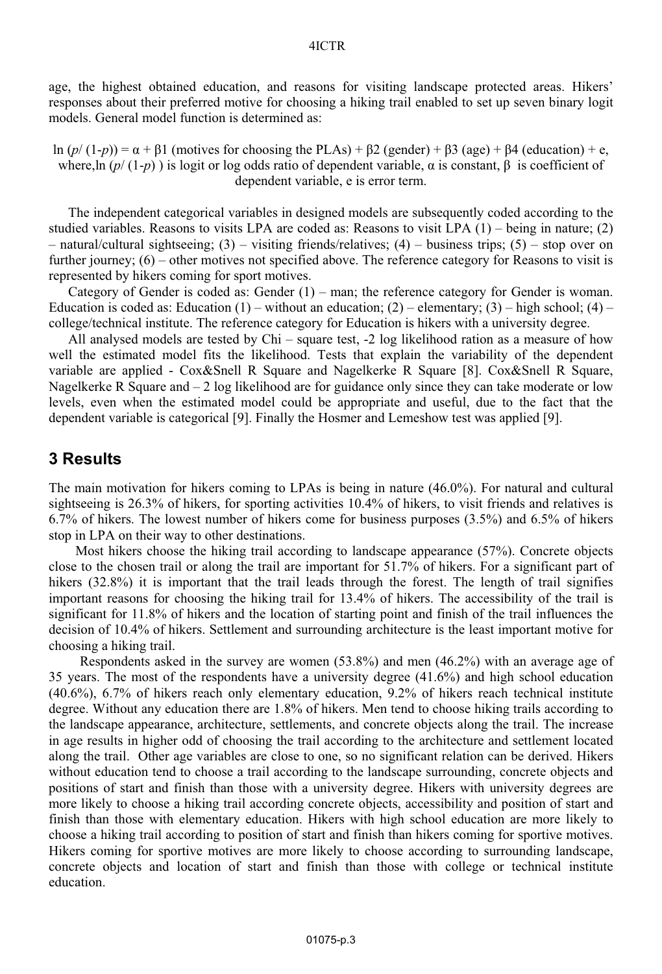age, the highest obtained education, and reasons for visiting landscape protected areas. Hikers' responses about their preferred motive for choosing a hiking trail enabled to set up seven binary logit models. General model function is determined as:

ln  $(p/(1-p)) = \alpha + \beta 1$  (motives for choosing the PLAs) +  $\beta$ 2 (gender) +  $\beta$ 3 (age) +  $\beta$ 4 (education) + e, where,ln  $(p/(1-p))$  is logit or log odds ratio of dependent variable,  $\alpha$  is constant,  $\beta$  is coefficient of dependent variable, e is error term.

The independent categorical variables in designed models are subsequently coded according to the studied variables. Reasons to visits LPA are coded as: Reasons to visit LPA (1) – being in nature; (2) – natural/cultural sightseeing; (3) – visiting friends/relatives; (4) – business trips; (5) – stop over on further journey; (6) – other motives not specified above. The reference category for Reasons to visit is represented by hikers coming for sport motives.

Category of Gender is coded as: Gender (1) – man; the reference category for Gender is woman. Education is coded as: Education  $(1)$  – without an education;  $(2)$  – elementary;  $(3)$  – high school;  $(4)$  – college/technical institute. The reference category for Education is hikers with a university degree.

All analysed models are tested by Chi – square test, -2 log likelihood ration as a measure of how well the estimated model fits the likelihood. Tests that explain the variability of the dependent variable are applied - Cox&Snell R Square and Nagelkerke R Square [8]. Cox&Snell R Square, Nagelkerke R Square and  $-2 \log$  likelihood are for guidance only since they can take moderate or low levels, even when the estimated model could be appropriate and useful, due to the fact that the dependent variable is categorical [9]. Finally the Hosmer and Lemeshow test was applied [9].

## **3 Results**

The main motivation for hikers coming to LPAs is being in nature (46.0%). For natural and cultural sightseeing is 26.3% of hikers, for sporting activities 10.4% of hikers, to visit friends and relatives is 6.7% of hikers. The lowest number of hikers come for business purposes (3.5%) and 6.5% of hikers stop in LPA on their way to other destinations.

 Most hikers choose the hiking trail according to landscape appearance (57%). Concrete objects close to the chosen trail or along the trail are important for 51.7% of hikers. For a significant part of hikers (32.8%) it is important that the trail leads through the forest. The length of trail signifies important reasons for choosing the hiking trail for 13.4% of hikers. The accessibility of the trail is significant for 11.8% of hikers and the location of starting point and finish of the trail influences the decision of 10.4% of hikers. Settlement and surrounding architecture is the least important motive for choosing a hiking trail.

 Respondents asked in the survey are women (53.8%) and men (46.2%) with an average age of 35 years. The most of the respondents have a university degree (41.6%) and high school education (40.6%), 6.7% of hikers reach only elementary education, 9.2% of hikers reach technical institute degree. Without any education there are 1.8% of hikers. Men tend to choose hiking trails according to the landscape appearance, architecture, settlements, and concrete objects along the trail. The increase in age results in higher odd of choosing the trail according to the architecture and settlement located along the trail. Other age variables are close to one, so no significant relation can be derived. Hikers without education tend to choose a trail according to the landscape surrounding, concrete objects and positions of start and finish than those with a university degree. Hikers with university degrees are more likely to choose a hiking trail according concrete objects, accessibility and position of start and finish than those with elementary education. Hikers with high school education are more likely to choose a hiking trail according to position of start and finish than hikers coming for sportive motives. Hikers coming for sportive motives are more likely to choose according to surrounding landscape, concrete objects and location of start and finish than those with college or technical institute education.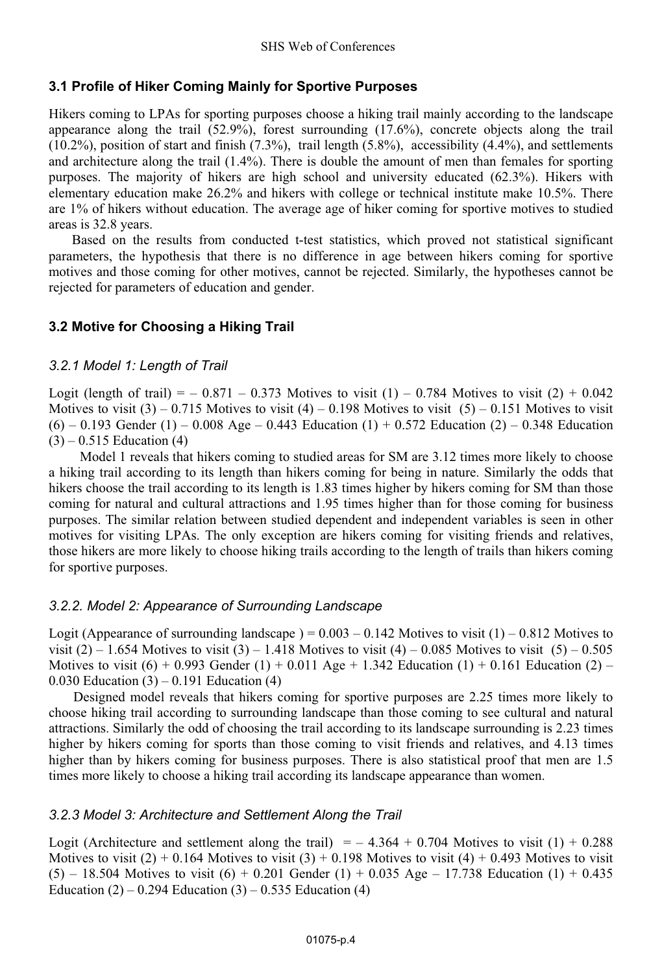### **3.1 Profile of Hiker Coming Mainly for Sportive Purposes**

Hikers coming to LPAs for sporting purposes choose a hiking trail mainly according to the landscape appearance along the trail  $(52.9\%)$ , forest surrounding  $(17.6\%)$ , concrete objects along the trail  $(10.2\%)$ , position of start and finish  $(7.3\%)$ , trail length  $(5.8\%)$ , accessibility  $(4.4\%)$ , and settlements and architecture along the trail (1.4%). There is double the amount of men than females for sporting purposes. The majority of hikers are high school and university educated (62.3%). Hikers with elementary education make 26.2% and hikers with college or technical institute make 10.5%. There are 1% of hikers without education. The average age of hiker coming for sportive motives to studied areas is 32.8 years.

 Based on the results from conducted t-test statistics, which proved not statistical significant parameters, the hypothesis that there is no difference in age between hikers coming for sportive motives and those coming for other motives, cannot be rejected. Similarly, the hypotheses cannot be rejected for parameters of education and gender.

### **3.2 Motive for Choosing a Hiking Trail**

### *3.2.1 Model 1: Length of Trail*

Logit (length of trail) =  $-0.871 - 0.373$  Motives to visit (1) – 0.784 Motives to visit (2) + 0.042 Motives to visit  $(3)$  – 0.715 Motives to visit  $(4)$  – 0.198 Motives to visit  $(5)$  – 0.151 Motives to visit  $(6) - 0.193$  Gender  $(1) - 0.008$  Age – 0.443 Education  $(1) + 0.572$  Education  $(2) - 0.348$  Education  $(3) - 0.515$  Education  $(4)$ 

Model 1 reveals that hikers coming to studied areas for SM are 3.12 times more likely to choose a hiking trail according to its length than hikers coming for being in nature. Similarly the odds that hikers choose the trail according to its length is 1.83 times higher by hikers coming for SM than those coming for natural and cultural attractions and 1.95 times higher than for those coming for business purposes. The similar relation between studied dependent and independent variables is seen in other motives for visiting LPAs. The only exception are hikers coming for visiting friends and relatives, those hikers are more likely to choose hiking trails according to the length of trails than hikers coming for sportive purposes.

### *3.2.2. Model 2: Appearance of Surrounding Landscape*

Logit (Appearance of surrounding landscape ) =  $0.003 - 0.142$  Motives to visit (1) – 0.812 Motives to visit (2) – 1.654 Motives to visit (3) – 1.418 Motives to visit (4) – 0.085 Motives to visit (5) – 0.505 Motives to visit  $(6) + 0.993$  Gender  $(1) + 0.011$  Age  $+ 1.342$  Education  $(1) + 0.161$  Education  $(2)$  – 0.030 Education (3) – 0.191 Education (4)

Designed model reveals that hikers coming for sportive purposes are 2.25 times more likely to choose hiking trail according to surrounding landscape than those coming to see cultural and natural attractions. Similarly the odd of choosing the trail according to its landscape surrounding is 2.23 times higher by hikers coming for sports than those coming to visit friends and relatives, and 4.13 times higher than by hikers coming for business purposes. There is also statistical proof that men are 1.5 times more likely to choose a hiking trail according its landscape appearance than women.

#### *3.2.3 Model 3: Architecture and Settlement Along the Trail*

Logit (Architecture and settlement along the trail)  $=$  -4.364 + 0.704 Motives to visit (1) + 0.288 Motives to visit  $(2) + 0.164$  Motives to visit  $(3) + 0.198$  Motives to visit  $(4) + 0.493$  Motives to visit  $(5)$  – 18.504 Motives to visit  $(6)$  + 0.201 Gender  $(1)$  + 0.035 Age – 17.738 Education  $(1)$  + 0.435 Education  $(2)$  – 0.294 Education  $(3)$  – 0.535 Education  $(4)$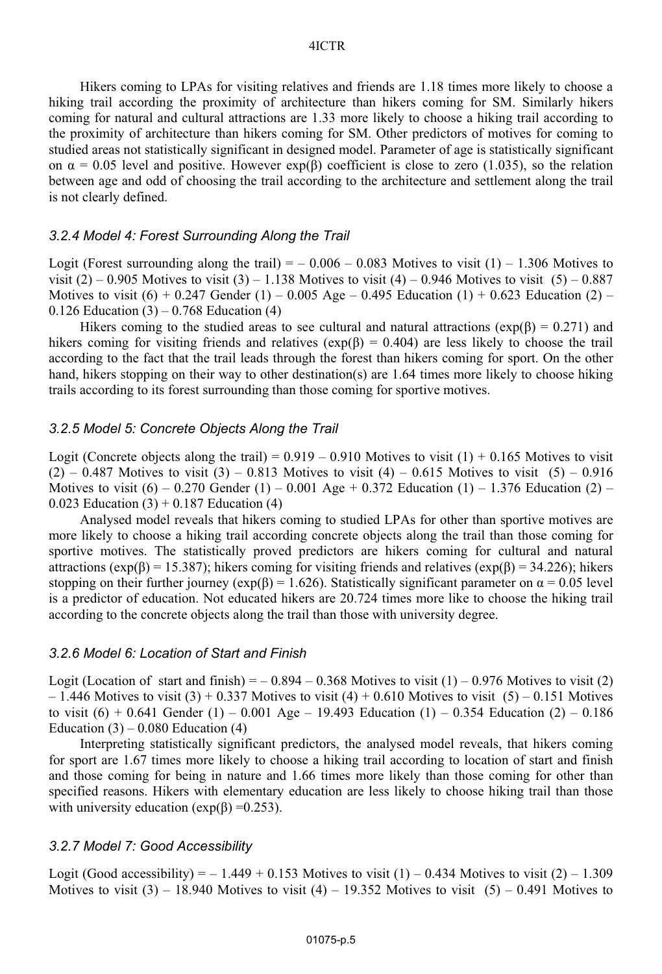Hikers coming to LPAs for visiting relatives and friends are 1.18 times more likely to choose a hiking trail according the proximity of architecture than hikers coming for SM. Similarly hikers coming for natural and cultural attractions are 1.33 more likely to choose a hiking trail according to the proximity of architecture than hikers coming for SM. Other predictors of motives for coming to studied areas not statistically significant in designed model. Parameter of age is statistically significant on  $\alpha = 0.05$  level and positive. However exp( $\beta$ ) coefficient is close to zero (1.035), so the relation between age and odd of choosing the trail according to the architecture and settlement along the trail is not clearly defined.

#### *3.2.4 Model 4: Forest Surrounding Along the Trail*

Logit (Forest surrounding along the trail) =  $-0.006 - 0.083$  Motives to visit (1) – 1.306 Motives to visit  $(2) - 0.905$  Motives to visit  $(3) - 1.138$  Motives to visit  $(4) - 0.946$  Motives to visit  $(5) - 0.887$ Motives to visit  $(6) + 0.247$  Gender  $(1) - 0.005$  Age – 0.495 Education  $(1) + 0.623$  Education  $(2)$  – 0.126 Education  $(3) - 0.768$  Education  $(4)$ 

Hikers coming to the studied areas to see cultural and natural attractions ( $\exp(\beta) = 0.271$ ) and hikers coming for visiting friends and relatives ( $exp(\beta) = 0.404$ ) are less likely to choose the trail according to the fact that the trail leads through the forest than hikers coming for sport. On the other hand, hikers stopping on their way to other destination(s) are 1.64 times more likely to choose hiking trails according to its forest surrounding than those coming for sportive motives.

#### *3.2.5 Model 5: Concrete Objects Along the Trail*

Logit (Concrete objects along the trail) =  $0.919 - 0.910$  Motives to visit  $(1) + 0.165$  Motives to visit  $(2) - 0.487$  Motives to visit  $(3) - 0.813$  Motives to visit  $(4) - 0.615$  Motives to visit  $(5) - 0.916$ Motives to visit  $(6) - 0.270$  Gender  $(1) - 0.001$  Age + 0.372 Education  $(1) - 1.376$  Education  $(2) -$ 0.023 Education  $(3) + 0.187$  Education  $(4)$ 

Analysed model reveals that hikers coming to studied LPAs for other than sportive motives are more likely to choose a hiking trail according concrete objects along the trail than those coming for sportive motives. The statistically proved predictors are hikers coming for cultural and natural attractions ( $exp(B) = 15.387$ ); hikers coming for visiting friends and relatives ( $exp(B) = 34.226$ ); hikers stopping on their further journey ( $\exp(\beta) = 1.626$ ). Statistically significant parameter on  $\alpha = 0.05$  level is a predictor of education. Not educated hikers are 20.724 times more like to choose the hiking trail according to the concrete objects along the trail than those with university degree.

#### *3.2.6 Model 6: Location of Start and Finish*

Logit (Location of start and finish) =  $-0.894 - 0.368$  Motives to visit (1)  $-0.976$  Motives to visit (2)  $-1.446$  Motives to visit (3) + 0.337 Motives to visit (4) + 0.610 Motives to visit (5) – 0.151 Motives to visit  $(6) + 0.641$  Gender  $(1) - 0.001$  Age – 19.493 Education  $(1) - 0.354$  Education  $(2) - 0.186$ Education  $(3)$  – 0.080 Education  $(4)$ 

Interpreting statistically significant predictors, the analysed model reveals, that hikers coming for sport are 1.67 times more likely to choose a hiking trail according to location of start and finish and those coming for being in nature and 1.66 times more likely than those coming for other than specified reasons. Hikers with elementary education are less likely to choose hiking trail than those with university education ( $exp(\beta) = 0.253$ ).

#### *3.2.7 Model 7: Good Accessibility*

Logit (Good accessibility) =  $-1.449 + 0.153$  Motives to visit (1)  $-0.434$  Motives to visit (2)  $-1.309$ Motives to visit  $(3)$  – 18.940 Motives to visit  $(4)$  – 19.352 Motives to visit  $(5)$  – 0.491 Motives to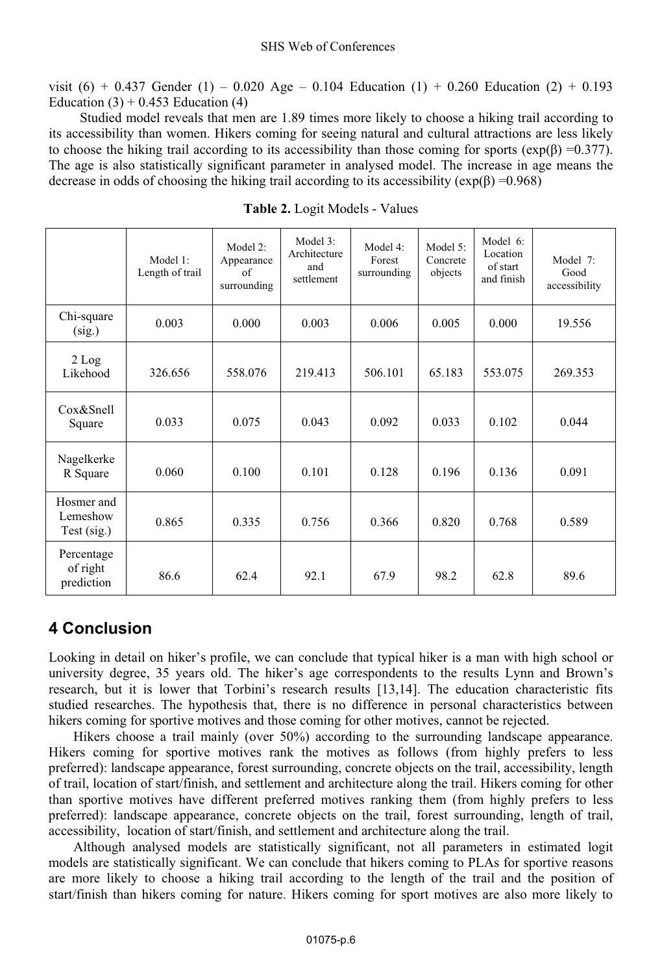#### SHS Web of Conferences

visit  $(6) + 0.437$  Gender  $(1) - 0.020$  Age – 0.104 Education  $(1) + 0.260$  Education  $(2) + 0.193$ Education  $(3) + 0.453$  Education  $(4)$ 

Studied model reveals that men are 1.89 times more likely to choose a hiking trail according to its accessibility than women. Hikers coming for seeing natural and cultural attractions are less likely to choose the hiking trail according to its accessibility than those coming for sports ( $\exp(\beta) = 0.377$ ). The age is also statistically significant parameter in analysed model. The increase in age means the decrease in odds of choosing the hiking trail according to its accessibility  $(\exp(\beta) = 0.968)$ 

|                                       | Model 1:<br>Length of trail | Model 2:<br>Appearance<br>of<br>surrounding | Model 3:<br>Architecture<br>and<br>settlement | Model 4:<br>Forest<br>surrounding | Model 5:<br>Concrete<br>objects | Model 6:<br>Location<br>of start<br>and finish | Model 7:<br>Good<br>accessibility |
|---------------------------------------|-----------------------------|---------------------------------------------|-----------------------------------------------|-----------------------------------|---------------------------------|------------------------------------------------|-----------------------------------|
| Chi-square<br>(sig.)                  | 0.003                       | 0.000                                       | 0.003                                         | 0.006                             | 0.005                           | 0.000                                          | 19.556                            |
| $2$ Log<br>Likehood                   | 326.656                     | 558.076                                     | 219.413                                       | 506.101                           | 65.183                          | 553.075                                        | 269.353                           |
| Cox&Snell<br>Square                   | 0.033                       | 0.075                                       | 0.043                                         | 0.092                             | 0.033                           | 0.102                                          | 0.044                             |
| Nagelkerke<br>R Square                | 0.060                       | 0.100                                       | 0.101                                         | 0.128                             | 0.196                           | 0.136                                          | 0.091                             |
| Hosmer and<br>Lemeshow<br>Test (sig.) | 0.865                       | 0.335                                       | 0.756                                         | 0.366                             | 0.820                           | 0.768                                          | 0.589                             |
| Percentage<br>of right<br>prediction  | 86.6                        | 62.4                                        | 92.1                                          | 67.9                              | 98.2                            | 62.8                                           | 89.6                              |

**Table 2.** Logit Models - Values

# **4 Conclusion**

Looking in detail on hiker's profile, we can conclude that typical hiker is a man with high school or university degree, 35 years old. The hiker's age correspondents to the results Lynn and Brown's research, but it is lower that Torbini's research results [13,14]. The education characteristic fits studied researches. The hypothesis that, there is no difference in personal characteristics between hikers coming for sportive motives and those coming for other motives, cannot be rejected.

Hikers choose a trail mainly (over 50%) according to the surrounding landscape appearance. Hikers coming for sportive motives rank the motives as follows (from highly prefers to less preferred): landscape appearance, forest surrounding, concrete objects on the trail, accessibility, length of trail, location of start/finish, and settlement and architecture along the trail. Hikers coming for other than sportive motives have different preferred motives ranking them (from highly prefers to less preferred): landscape appearance, concrete objects on the trail, forest surrounding, length of trail, accessibility, location of start/finish, and settlement and architecture along the trail.

Although analysed models are statistically significant, not all parameters in estimated logit models are statistically significant. We can conclude that hikers coming to PLAs for sportive reasons are more likely to choose a hiking trail according to the length of the trail and the position of start/finish than hikers coming for nature. Hikers coming for sport motives are also more likely to